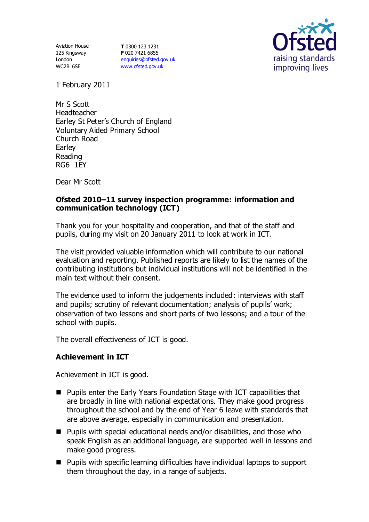Aviation House 125 Kingsway London WC2B 6SE

**T** 0300 123 1231 **F** 020 7421 6855 [enquiries@ofsted.gov.uk](mailto:enquiries@ofsted.gov.uk) [www.ofsted.gov.uk](http://www.ofsted.gov.uk/)



1 February 2011

Mr S Scott Headteacher Earley St Peter's Church of England Voluntary Aided Primary School Church Road Earley Reading RG6 1EY

Dear Mr Scott

### **Ofsted 2010–11 survey inspection programme: information and communication technology (ICT)**

Thank you for your hospitality and cooperation, and that of the staff and pupils, during my visit on 20 January 2011 to look at work in ICT.

The visit provided valuable information which will contribute to our national evaluation and reporting. Published reports are likely to list the names of the contributing institutions but individual institutions will not be identified in the main text without their consent.

The evidence used to inform the judgements included: interviews with staff and pupils; scrutiny of relevant documentation; analysis of pupils' work; observation of two lessons and short parts of two lessons; and a tour of the school with pupils.

The overall effectiveness of ICT is good.

### **Achievement in ICT**

Achievement in ICT is good.

- Pupils enter the Early Years Foundation Stage with ICT capabilities that are broadly in line with national expectations. They make good progress throughout the school and by the end of Year 6 leave with standards that are above average, especially in communication and presentation.
- $\blacksquare$  Pupils with special educational needs and/or disabilities, and those who speak English as an additional language, are supported well in lessons and make good progress.
- Pupils with specific learning difficulties have individual laptops to support them throughout the day, in a range of subjects.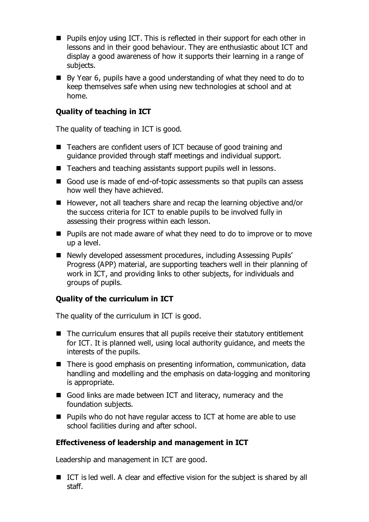- Pupils enjoy using ICT. This is reflected in their support for each other in lessons and in their good behaviour. They are enthusiastic about ICT and display a good awareness of how it supports their learning in a range of subjects.
- By Year 6, pupils have a good understanding of what they need to do to keep themselves safe when using new technologies at school and at home.

## **Quality of teaching in ICT**

The quality of teaching in ICT is good.

- Teachers are confident users of ICT because of good training and guidance provided through staff meetings and individual support.
- Teachers and teaching assistants support pupils well in lessons.
- Good use is made of end-of-topic assessments so that pupils can assess how well they have achieved.
- However, not all teachers share and recap the learning objective and/or the success criteria for ICT to enable pupils to be involved fully in assessing their progress within each lesson.
- Pupils are not made aware of what they need to do to improve or to move up a level.
- Newly developed assessment procedures, including Assessing Pupils' Progress (APP) material, are supporting teachers well in their planning of work in ICT, and providing links to other subjects, for individuals and groups of pupils.

# **Quality of the curriculum in ICT**

The quality of the curriculum in ICT is good.

- The curriculum ensures that all pupils receive their statutory entitlement for ICT. It is planned well, using local authority guidance, and meets the interests of the pupils.
- There is good emphasis on presenting information, communication, data handling and modelling and the emphasis on data-logging and monitoring is appropriate.
- Good links are made between ICT and literacy, numeracy and the foundation subjects.
- Pupils who do not have regular access to ICT at home are able to use school facilities during and after school.

### **Effectiveness of leadership and management in ICT**

Leadership and management in ICT are good.

■ ICT is led well. A clear and effective vision for the subject is shared by all staff.